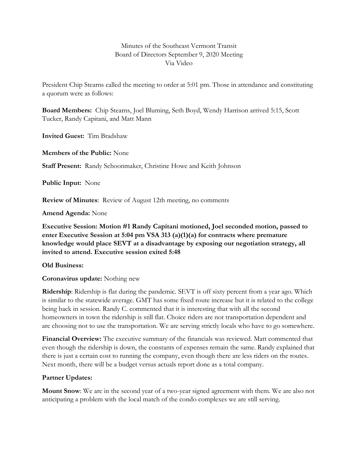### Minutes of the Southeast Vermont Transit Board of Directors September 9, 2020 Meeting Via Video

President Chip Stearns called the meeting to order at 5:01 pm. Those in attendance and constituting a quorum were as follows:

**Board Members:** Chip Stearns, Joel Bluming, Seth Boyd, Wendy Harrison arrived 5:15, Scott Tucker, Randy Capitani, and Matt Mann

**Invited Guest:** Tim Bradshaw

**Members of the Public:** None

**Staff Present:** Randy Schoonmaker, Christine Howe and Keith Johnson

**Public Input:** None

**Review of Minutes**: Review of August 12th meeting, no comments

**Amend Agenda:** None

**Executive Session: Motion #1 Randy Capitani motioned, Joel seconded motion, passed to enter Executive Session at 5:04 pm VSA 313 (a)(1)(a) for contracts where premature knowledge would place SEVT at a disadvantage by exposing our negotiation strategy, all invited to attend. Executive session exited 5:48**

**Old Business:**

**Coronavirus update:** Nothing new

**Ridership**: Ridership is flat during the pandemic. SEVT is off sixty percent from a year ago. Which is similar to the statewide average. GMT has some fixed route increase but it is related to the college being back in session. Randy C. commented that it is interesting that with all the second homeowners in town the ridership is still flat. Choice riders are not transportation dependent and are choosing not to use the transportation. We are serving strictly locals who have to go somewhere.

**Financial Overview:** The executive summary of the financials was reviewed. Matt commented that even though the ridership is down, the constants of expenses remain the same. Randy explained that there is just a certain cost to running the company, even though there are less riders on the routes. Next month, there will be a budget versus actuals report done as a total company.

# **Partner Updates:**

**Mount Snow**: We are in the second year of a two-year signed agreement with them. We are also not anticipating a problem with the local match of the condo complexes we are still serving.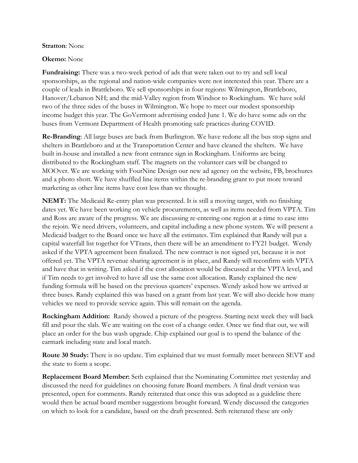#### **Stratton**: None

### **Okemo:** None

**Fundraising:** There was a two-week period of ads that were taken out to try and sell local sponsorships, as the regional and nation-wide companies were not interested this year. There are a couple of leads in Brattleboro. We sell sponsorships in four regions: Wilmington, Brattleboro, Hanover/Lebanon NH; and the mid-Valley region from Windsor to Rockingham. We have sold two of the three sides of the buses in Wilmington. We hope to meet our modest sponsorship income budget this year. The GoVermont advertising ended June 1. We do have some ads on the buses from Vermont Department of Health promoting safe practices during COVID.

**Re-Branding**: All large buses are back from Burlington. We have redone all the bus stop signs and shelters in Brattleboro and at the Transportation Center and have cleaned the shelters. We have built in-house and installed a new front entrance sign in Rockingham. Uniforms are being distributed to the Rockingham staff. The magnets on the volunteer cars will be changed to MOOver. We are working with FourNine Design our new ad agency on the website, FB, brochures and a photo shott. We have shuffled line items within the re-branding grant to put more toward marketing as other line items have cost less than we thought.

**NEMT:** The Medicaid Re-entry plan was presented. It is still a moving target, with no finishing dates yet. We have been working on vehicle procurements, as well as items needed from VPTA. Tim and Ross are aware of the progress. We are discussing re-entering one region at a time to ease into the rejoin. We need drivers, volunteers, and capital including a new phone system. We will present a Medicaid budget to the Board once we have all the estimates. Tim explained that Randy will put a capital waterfall list together for VTrans, then there will be an amendment to FY21 budget. Wendy asked if the VPTA agreement been finalized. The new contract is not signed yet, because it is not offered yet. The VPTA revenue sharing agreement is in place, and Randy will reconfirm with VPTA and have that in writing. Tim asked if the cost allocation would be discussed at the VPTA level, and if Tim needs to get involved to have all use the same cost allocation. Randy explained the new funding formula will be based on the previous quarters' expenses. Wendy asked how we arrived at three buses. Randy explained this was based on a grant from last year. We will also decide how many vehicles we need to provide service again. This will remain on the agenda.

**Rockingham Addition:** Randy showed a picture of the progress. Starting next week they will back fill and pour the slab. We are waiting on the cost of a change order. Once we find that out, we will place an order for the bus wash upgrade. Chip explained our goal is to spend the balance of the earmark including state and local match.

**Route 30 Study:** There is no update. Tim explained that we must formally meet between SEVT and the state to form a scope.

**Replacement Board Member:** Seth explained that the Nominating Committee met yesterday and discussed the need for guidelines on choosing future Board members. A final draft version was presented, open for comments. Randy reiterated that once this was adopted as a guideline there would then be actual board member suggestions brought forward. Wendy discussed the categories on which to look for a candidate, based on the draft presented. Seth reiterated these are only